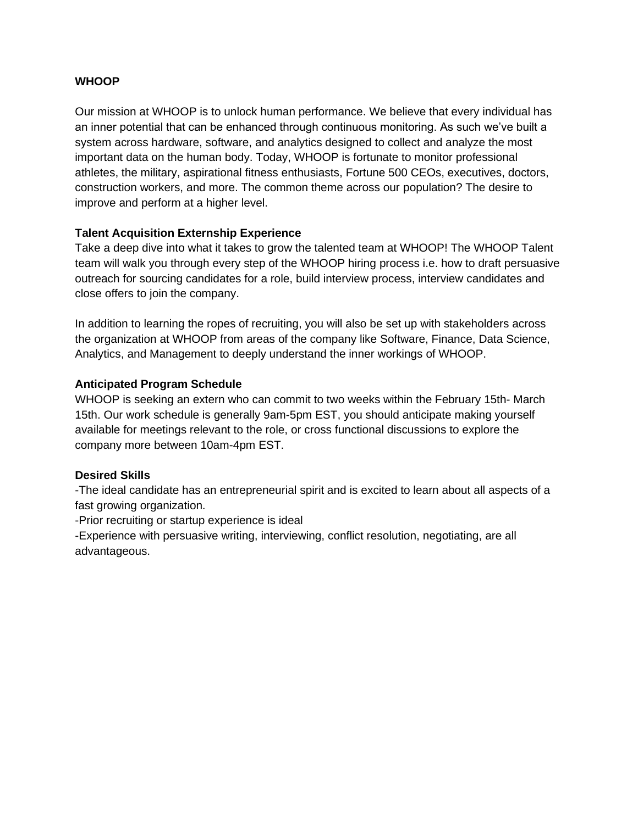### **WHOOP**

Our mission at WHOOP is to unlock human performance. We believe that every individual has an inner potential that can be enhanced through continuous monitoring. As such we've built a system across hardware, software, and analytics designed to collect and analyze the most important data on the human body. Today, WHOOP is fortunate to monitor professional athletes, the military, aspirational fitness enthusiasts, Fortune 500 CEOs, executives, doctors, construction workers, and more. The common theme across our population? The desire to improve and perform at a higher level.

### **Talent Acquisition Externship Experience**

Take a deep dive into what it takes to grow the talented team at WHOOP! The WHOOP Talent team will walk you through every step of the WHOOP hiring process i.e. how to draft persuasive outreach for sourcing candidates for a role, build interview process, interview candidates and close offers to join the company.

In addition to learning the ropes of recruiting, you will also be set up with stakeholders across the organization at WHOOP from areas of the company like Software, Finance, Data Science, Analytics, and Management to deeply understand the inner workings of WHOOP.

### **Anticipated Program Schedule**

WHOOP is seeking an extern who can commit to two weeks within the February 15th- March 15th. Our work schedule is generally 9am-5pm EST, you should anticipate making yourself available for meetings relevant to the role, or cross functional discussions to explore the company more between 10am-4pm EST.

### **Desired Skills**

-The ideal candidate has an entrepreneurial spirit and is excited to learn about all aspects of a fast growing organization.

-Prior recruiting or startup experience is ideal

-Experience with persuasive writing, interviewing, conflict resolution, negotiating, are all advantageous.